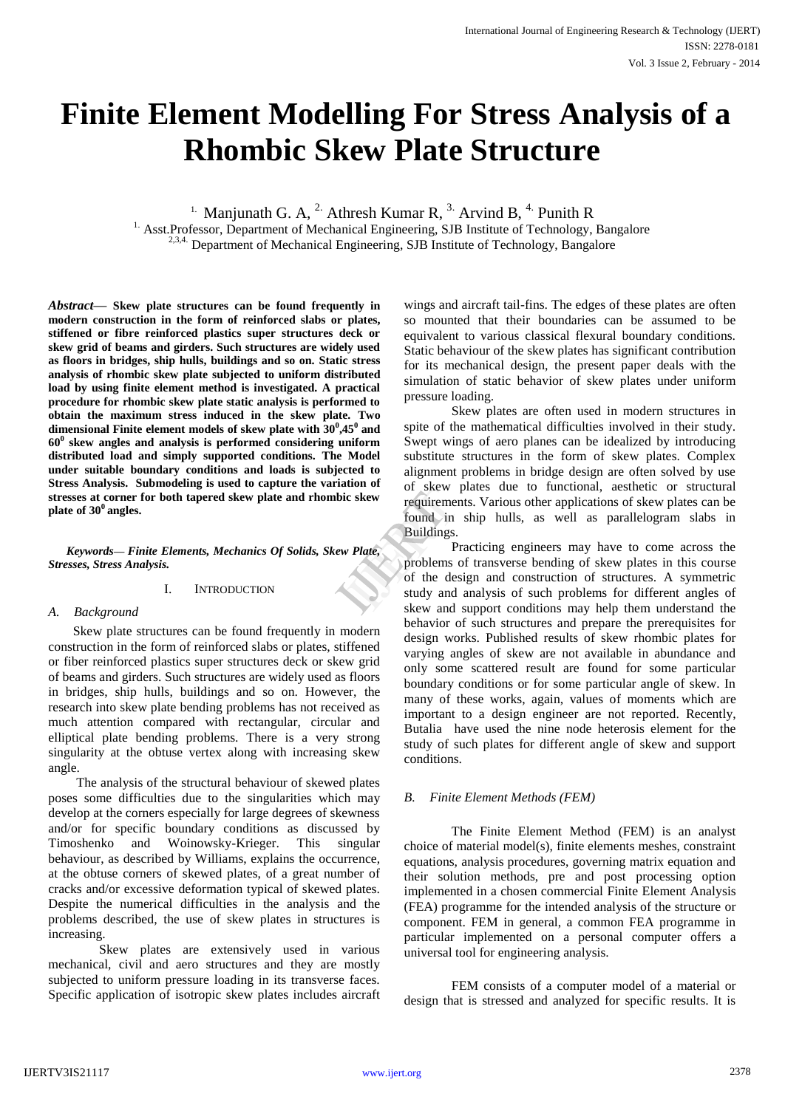# **Finite Element Modelling For Stress Analysis of a Rhombic Skew Plate Structure**

<sup>1.</sup> Manjunath G. A,  $^{2}$  Athresh Kumar R,  $^{3}$  Arvind B,  $^{4}$  Punith R

<sup>1.</sup> Asst.Professor, Department of Mechanical Engineering, SJB Institute of Technology, Bangalore <sup>2,3,4</sup>. Department of Mechanical Engineering, SJB Institute of Technology, Bangalore

*Abstract***— Skew plate structures can be found frequently in modern construction in the form of reinforced slabs or plates, stiffened or fibre reinforced plastics super structures deck or skew grid of beams and girders. Such structures are widely used as floors in bridges, ship hulls, buildings and so on. Static stress analysis of rhombic skew plate subjected to uniform distributed load by using finite element method is investigated. A practical procedure for rhombic skew plate static analysis is performed to obtain the maximum stress induced in the skew plate. Two dimensional Finite element models of skew plate with 30<sup>0</sup> ,45<sup>0</sup> and 60<sup>0</sup> skew angles and analysis is performed considering uniform distributed load and simply supported conditions. The Model under suitable boundary conditions and loads is subjected to Stress Analysis. Submodeling is used to capture the variation of stresses at corner for both tapered skew plate and rhombic skew plate of 30<sup>0</sup>angles.** 

*Keywords— Finite Elements, Mechanics Of Solids, Skew Plate, Stresses, Stress Analysis.*

#### I. INTRODUCTION

#### *A. Background*

Skew plate structures can be found frequently in modern construction in the form of reinforced slabs or plates, stiffened or fiber reinforced plastics super structures deck or skew grid of beams and girders. Such structures are widely used as floors in bridges, ship hulls, buildings and so on. However, the research into skew plate bending problems has not received as much attention compared with rectangular, circular and elliptical plate bending problems. There is a very strong singularity at the obtuse vertex along with increasing skew angle.

The analysis of the structural behaviour of skewed plates poses some difficulties due to the singularities which may develop at the corners especially for large degrees of skewness and/or for specific boundary conditions as discussed by Timoshenko and Woinowsky-Krieger. This singular behaviour, as described by Williams, explains the occurrence, at the obtuse corners of skewed plates, of a great number of cracks and/or excessive deformation typical of skewed plates. Despite the numerical difficulties in the analysis and the problems described, the use of skew plates in structures is increasing.

Skew plates are extensively used in various mechanical, civil and aero structures and they are mostly subjected to uniform pressure loading in its transverse faces. Specific application of isotropic skew plates includes aircraft wings and aircraft tail-fins. The edges of these plates are often so mounted that their boundaries can be assumed to be equivalent to various classical flexural boundary conditions. Static behaviour of the skew plates has significant contribution for its mechanical design, the present paper deals with the simulation of static behavior of skew plates under uniform pressure loading.

Skew plates are often used in modern structures in spite of the mathematical difficulties involved in their study. Swept wings of aero planes can be idealized by introducing substitute structures in the form of skew plates. Complex alignment problems in bridge design are often solved by use of skew plates due to functional, aesthetic or structural requirements. Various other applications of skew plates can be found in ship hulls, as well as parallelogram slabs in Buildings.

Practicing engineers may have to come across the problems of transverse bending of skew plates in this course of the design and construction of structures. A symmetric study and analysis of such problems for different angles of skew and support conditions may help them understand the behavior of such structures and prepare the prerequisites for design works. Published results of skew rhombic plates for varying angles of skew are not available in abundance and only some scattered result are found for some particular boundary conditions or for some particular angle of skew. In many of these works, again, values of moments which are important to a design engineer are not reported. Recently, Butalia have used the nine node heterosis element for the study of such plates for different angle of skew and support conditions. Fraction of Skew practice contracts found in strated and problems of practice of the designation of the designation of the designation of the designation of the designation of the designation of  $\frac{1}{2}$  and  $\frac{1}{2}$  and

#### *B. Finite Element Methods (FEM)*

The Finite Element Method (FEM) is an analyst choice of material model(s), finite elements meshes, constraint equations, analysis procedures, governing matrix equation and their solution methods, pre and post processing option implemented in a chosen commercial Finite Element Analysis (FEA) programme for the intended analysis of the structure or component. FEM in general, a common FEA programme in particular implemented on a personal computer offers a universal tool for engineering analysis.

FEM consists of a computer model of a material or design that is stressed and analyzed for specific results. It is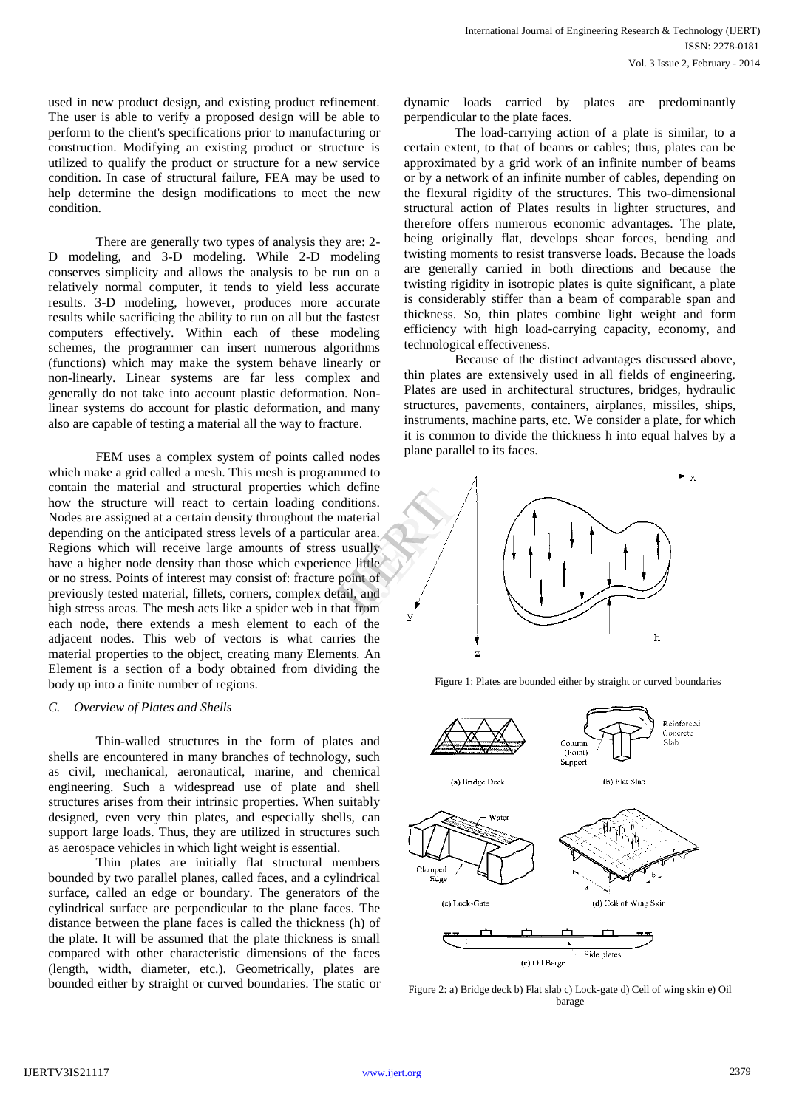used in new product design, and existing product refinement. The user is able to verify a proposed design will be able to perform to the client's specifications prior to manufacturing or construction. Modifying an existing product or structure is utilized to qualify the product or structure for a new service condition. In case of structural failure, FEA may be used to help determine the design modifications to meet the new condition.

There are generally two types of analysis they are: 2- D modeling, and 3-D modeling. While 2-D modeling conserves simplicity and allows the analysis to be run on a relatively normal computer, it tends to yield less accurate results. 3-D modeling, however, produces more accurate results while sacrificing the ability to run on all but the fastest computers effectively. Within each of these modeling schemes, the programmer can insert numerous algorithms (functions) which may make the system behave linearly or non-linearly. Linear systems are far less complex and generally do not take into account plastic deformation. Nonlinear systems do account for plastic deformation, and many also are capable of testing a material all the way to fracture.

FEM uses a complex system of points called nodes which make a grid called a mesh. This mesh is programmed to contain the material and structural properties which define how the structure will react to certain loading conditions. Nodes are assigned at a certain density throughout the material depending on the anticipated stress levels of a particular area. Regions which will receive large amounts of stress usually have a higher node density than those which experience little or no stress. Points of interest may consist of: fracture point of previously tested material, fillets, corners, complex detail, and high stress areas. The mesh acts like a spider web in that from each node, there extends a mesh element to each of the adjacent nodes. This web of vectors is what carries the material properties to the object, creating many Elements. An Element is a section of a body obtained from dividing the body up into a finite number of regions.

#### *C. Overview of Plates and Shells*

Thin-walled structures in the form of plates and shells are encountered in many branches of technology, such as civil, mechanical, aeronautical, marine, and chemical engineering. Such a widespread use of plate and shell structures arises from their intrinsic properties. When suitably designed, even very thin plates, and especially shells, can support large loads. Thus, they are utilized in structures such as aerospace vehicles in which light weight is essential.

Thin plates are initially flat structural members bounded by two parallel planes, called faces, and a cylindrical surface, called an edge or boundary. The generators of the cylindrical surface are perpendicular to the plane faces. The distance between the plane faces is called the thickness (h) of the plate. It will be assumed that the plate thickness is small compared with other characteristic dimensions of the faces (length, width, diameter, etc.). Geometrically, plates are bounded either by straight or curved boundaries. The static or dynamic loads carried by plates are predominantly perpendicular to the plate faces.

The load-carrying action of a plate is similar, to a certain extent, to that of beams or cables; thus, plates can be approximated by a grid work of an infinite number of beams or by a network of an infinite number of cables, depending on the flexural rigidity of the structures. This two-dimensional structural action of Plates results in lighter structures, and therefore offers numerous economic advantages. The plate, being originally flat, develops shear forces, bending and twisting moments to resist transverse loads. Because the loads are generally carried in both directions and because the twisting rigidity in isotropic plates is quite significant, a plate is considerably stiffer than a beam of comparable span and thickness. So, thin plates combine light weight and form efficiency with high load-carrying capacity, economy, and technological effectiveness.

Because of the distinct advantages discussed above, thin plates are extensively used in all fields of engineering. Plates are used in architectural structures, bridges, hydraulic structures, pavements, containers, airplanes, missiles, ships, instruments, machine parts, etc. We consider a plate, for which it is common to divide the thickness h into equal halves by a plane parallel to its faces.



Figure 1: Plates are bounded either by straight or curved boundaries



Figure 2: a) Bridge deck b) Flat slab c) Lock-gate d) Cell of wing skin e) Oil barage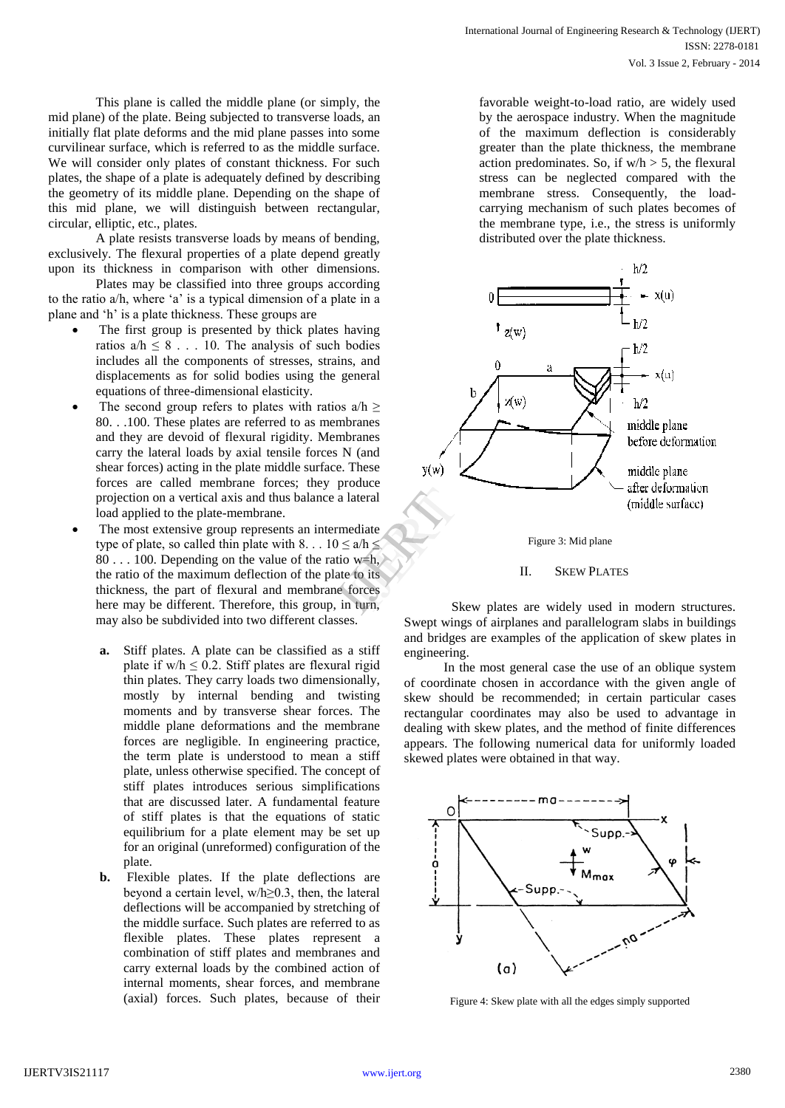This plane is called the middle plane (or simply, the mid plane) of the plate. Being subjected to transverse loads, an initially flat plate deforms and the mid plane passes into some curvilinear surface, which is referred to as the middle surface. We will consider only plates of constant thickness. For such plates, the shape of a plate is adequately defined by describing the geometry of its middle plane. Depending on the shape of this mid plane, we will distinguish between rectangular, circular, elliptic, etc., plates.

A plate resists transverse loads by means of bending, exclusively. The flexural properties of a plate depend greatly upon its thickness in comparison with other dimensions.

Plates may be classified into three groups according to the ratio a/h, where 'a' is a typical dimension of a plate in a plane and 'h' is a plate thickness. These groups are

- The first group is presented by thick plates having ratios  $a/h \leq 8$ ... 10. The analysis of such bodies includes all the components of stresses, strains, and displacements as for solid bodies using the general equations of three-dimensional elasticity.
- The second group refers to plates with ratios  $a/h \ge$ 80. . .100. These plates are referred to as membranes and they are devoid of flexural rigidity. Membranes carry the lateral loads by axial tensile forces N (and shear forces) acting in the plate middle surface. These forces are called membrane forces; they produce projection on a vertical axis and thus balance a lateral load applied to the plate-membrane.
- The most extensive group represents an intermediate type of plate, so called thin plate with 8. . .  $10 \le a/h \le$ 80 . . . 100. Depending on the value of the ratio w=h, the ratio of the maximum deflection of the plate to its thickness, the part of flexural and membrane forces here may be different. Therefore, this group, in turn, may also be subdivided into two different classes.
	- **a.** Stiff plates. A plate can be classified as a stiff plate if  $w/h \leq 0.2$ . Stiff plates are flexural rigid thin plates. They carry loads two dimensionally, mostly by internal bending and twisting moments and by transverse shear forces. The middle plane deformations and the membrane forces are negligible. In engineering practice, the term plate is understood to mean a stiff plate, unless otherwise specified. The concept of stiff plates introduces serious simplifications that are discussed later. A fundamental feature of stiff plates is that the equations of static equilibrium for a plate element may be set up for an original (unreformed) configuration of the plate.
	- **b.** Flexible plates. If the plate deflections are beyond a certain level, w/h≥0.3, then, the lateral deflections will be accompanied by stretching of the middle surface. Such plates are referred to as flexible plates. These plates represent a combination of stiff plates and membranes and carry external loads by the combined action of internal moments, shear forces, and membrane (axial) forces. Such plates, because of their

favorable weight-to-load ratio, are widely used by the aerospace industry. When the magnitude of the maximum deflection is considerably greater than the plate thickness, the membrane action predominates. So, if  $w/h > 5$ , the flexural stress can be neglected compared with the membrane stress. Consequently, the loadcarrying mechanism of such plates becomes of the membrane type, i.e., the stress is uniformly distributed over the plate thickness.



#### II. SKEW PLATES

Skew plates are widely used in modern structures. Swept wings of airplanes and parallelogram slabs in buildings and bridges are examples of the application of skew plates in engineering.

 In the most general case the use of an oblique system of coordinate chosen in accordance with the given angle of skew should be recommended; in certain particular cases rectangular coordinates may also be used to advantage in dealing with skew plates, and the method of finite differences appears. The following numerical data for uniformly loaded skewed plates were obtained in that way.



Figure 4: Skew plate with all the edges simply supported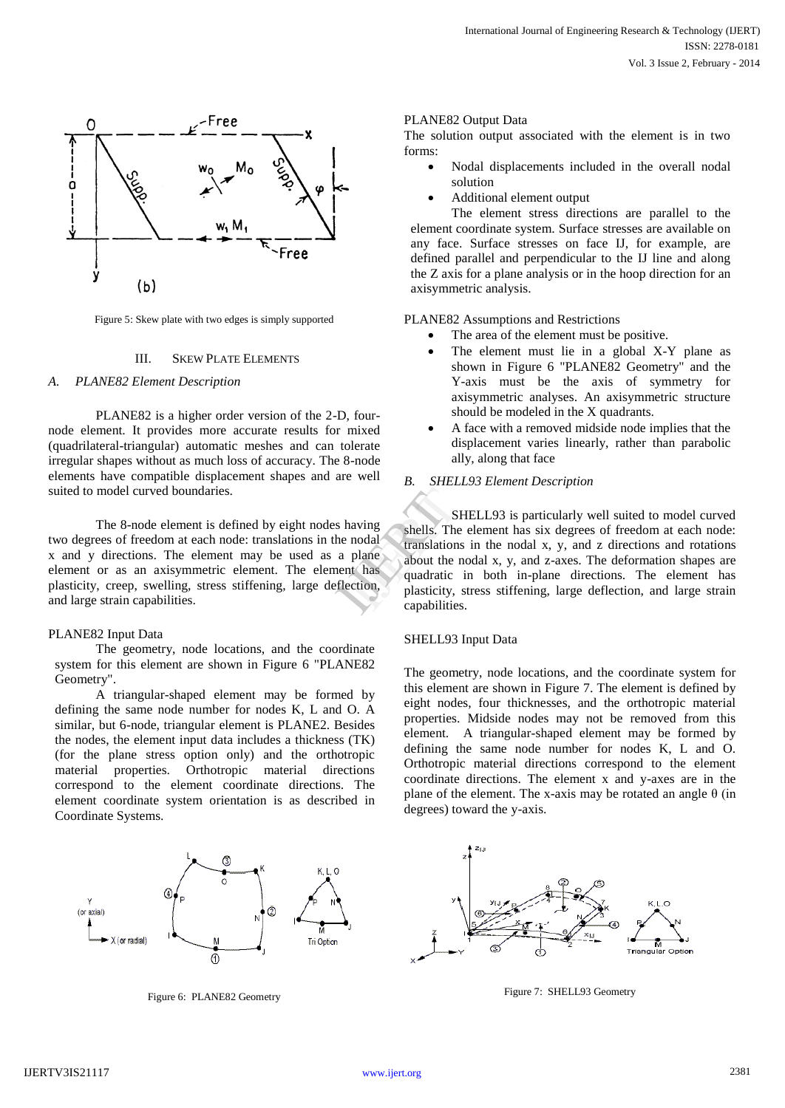

Figure 5: Skew plate with two edges is simply supported

#### III. SKEW PLATE ELEMENTS

## *A. PLANE82 Element Description*

PLANE82 is a higher order version of the 2-D, fournode element. It provides more accurate results for mixed (quadrilateral-triangular) automatic meshes and can tolerate irregular shapes without as much loss of accuracy. The 8-node elements have compatible displacement shapes and are well suited to model curved boundaries.

The 8-node element is defined by eight nodes having two degrees of freedom at each node: translations in the nodal x and y directions. The element may be used as a plane element or as an axisymmetric element. The element has plasticity, creep, swelling, stress stiffening, large deflection, and large strain capabilities.

#### PLANE82 Input Data

The geometry, node locations, and the coordinate system for this element are shown in Figure 6 "PLANE82 Geometry".

A triangular-shaped element may be formed by defining the same node number for nodes K, L and O. A similar, but 6-node, triangular element is PLANE2. Besides the nodes, the element input data includes a thickness (TK) (for the plane stress option only) and the orthotropic material properties. Orthotropic material directions correspond to the element coordinate directions. The element coordinate system orientation is as described in Coordinate Systems.



Figure 6: PLANE82 Geometry

#### PLANE82 Output Data

The solution output associated with the element is in two forms:

- Nodal displacements included in the overall nodal solution
- Additional element output

The element stress directions are parallel to the element coordinate system. Surface stresses are available on any face. Surface stresses on face IJ, for example, are defined parallel and perpendicular to the IJ line and along the Z axis for a plane analysis or in the hoop direction for an axisymmetric analysis.

#### PLANE82 Assumptions and Restrictions

- The area of the element must be positive.
- The element must lie in a global X-Y plane as shown in Figure 6 "PLANE82 Geometry" and the Y-axis must be the axis of symmetry for axisymmetric analyses. An axisymmetric structure should be modeled in the X quadrants.
- A face with a removed midside node implies that the displacement varies linearly, rather than parabolic ally, along that face

## *B. SHELL93 Element Description*

SHELL93 is particularly well suited to model curved shells. The element has six degrees of freedom at each node: translations in the nodal x, y, and z directions and rotations about the nodal x, y, and z-axes. The deformation shapes are quadratic in both in-plane directions. The element has plasticity, stress stiffening, large deflection, and large strain capabilities. SHI<br>
naving<br>
nodal<br>
maximum shalls. The examplance<br>
maximum about the no<br>
quadratic in<br>
plasticity, strategy<br>
capabilities.

## SHELL93 Input Data

The geometry, node locations, and the coordinate system for this element are shown in Figure 7. The element is defined by eight nodes, four thicknesses, and the orthotropic material properties. Midside nodes may not be removed from this element. A triangular-shaped element may be formed by defining the same node number for nodes K, L and O. Orthotropic material directions correspond to the element coordinate directions. The element x and y-axes are in the plane of the element. The x-axis may be rotated an angle  $\theta$  (in degrees) toward the y-axis.



Figure 7: SHELL93 Geometry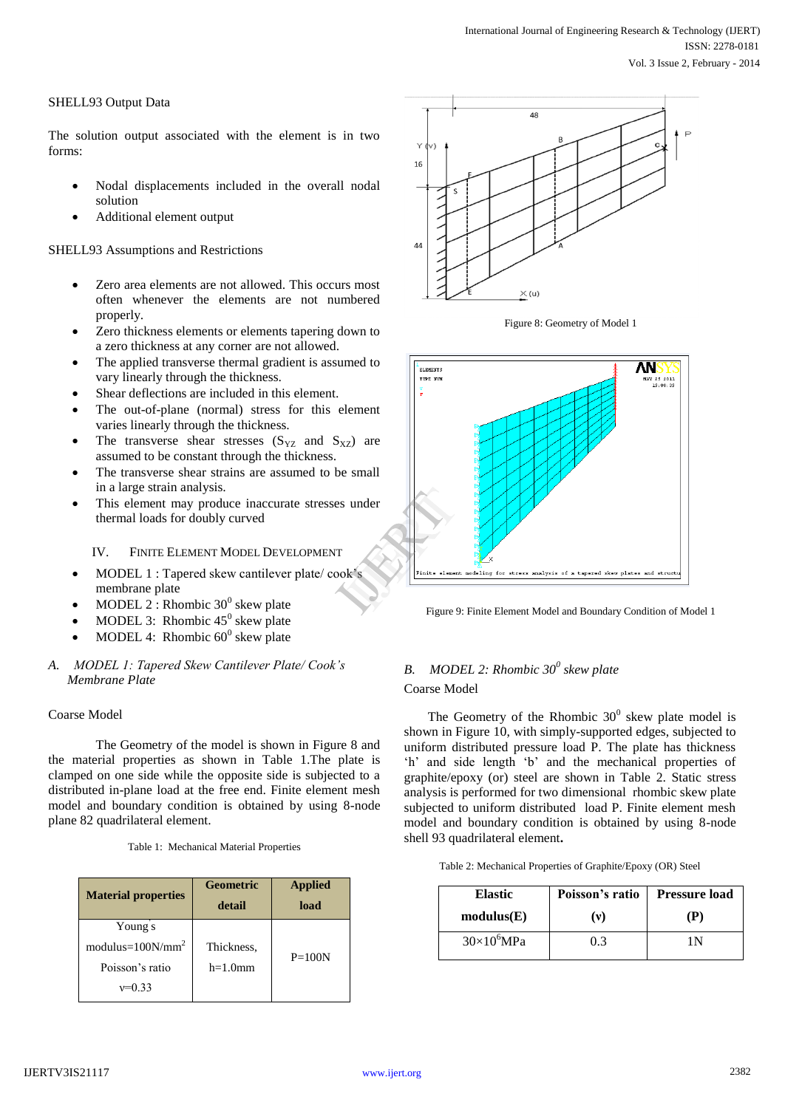## SHELL93 Output Data

The solution output associated with the element is in two forms:

- Nodal displacements included in the overall nodal solution
- Additional element output

SHELL93 Assumptions and Restrictions

- Zero area elements are not allowed. This occurs most often whenever the elements are not numbered properly.
- Zero thickness elements or elements tapering down to a zero thickness at any corner are not allowed.
- The applied transverse thermal gradient is assumed to vary linearly through the thickness.
- Shear deflections are included in this element.
- The out-of-plane (normal) stress for this element varies linearly through the thickness.
- The transverse shear stresses  $(S_{YZ}$  and  $S_{XZ}$ ) are assumed to be constant through the thickness.
- The transverse shear strains are assumed to be small in a large strain analysis.
- This element may produce inaccurate stresses under thermal loads for doubly curved

IV. FINITE ELEMENT MODEL DEVELOPMENT

- MODEL 1 : Tapered skew cantilever plate/ cook's membrane plate
- MODEL 2 : Rhombic  $30^0$  skew plate
- MODEL 3: Rhombic  $45^{\circ}$  skew plate
- MODEL 4: Rhombic  $60^{\circ}$  skew plate
- *A. MODEL 1: Tapered Skew Cantilever Plate/ Cook's Membrane Plate*

## Coarse Model

The Geometry of the model is shown in Figure 8 and the material properties as shown in Table 1.The plate is clamped on one side while the opposite side is subjected to a distributed in-plane load at the free end. Finite element mesh model and boundary condition is obtained by using 8-node plane 82 quadrilateral element.

| Table 1: Mechanical Material Properties |  |  |  |  |
|-----------------------------------------|--|--|--|--|
|-----------------------------------------|--|--|--|--|

| <b>Material properties</b> | <b>Geometric</b><br>detail | <b>Applied</b><br>load |
|----------------------------|----------------------------|------------------------|
| Young s                    |                            |                        |
| $modulus=100N/mm2$         | Thickness,                 | $P=100N$               |
| Poisson's ratio            | $h=1.0$ mm                 |                        |
| $v=0.33$                   |                            |                        |



Figure 8: Geometry of Model 1



Figure 9: Finite Element Model and Boundary Condition of Model 1

# *B. MODEL 2: Rhombic 30<sup>0</sup> skew plate* Coarse Model

The Geometry of the Rhombic  $30^0$  skew plate model is shown in Figure 10, with simply-supported edges, subjected to uniform distributed pressure load P. The plate has thickness 'h' and side length 'b' and the mechanical properties of graphite/epoxy (or) steel are shown in Table 2. Static stress analysis is performed for two dimensional rhombic skew plate subjected to uniform distributed load P. Finite element mesh model and boundary condition is obtained by using 8-node shell 93 quadrilateral element**.**

Table 2: Mechanical Properties of Graphite/Epoxy (OR) Steel

| <b>Elastic</b>     | Poisson's ratio | <b>Pressure load</b> |
|--------------------|-----------------|----------------------|
| modulus(E)         | $\mathbf{v}$    | (P)                  |
| $30\times10^6$ MPa | 03              | I N                  |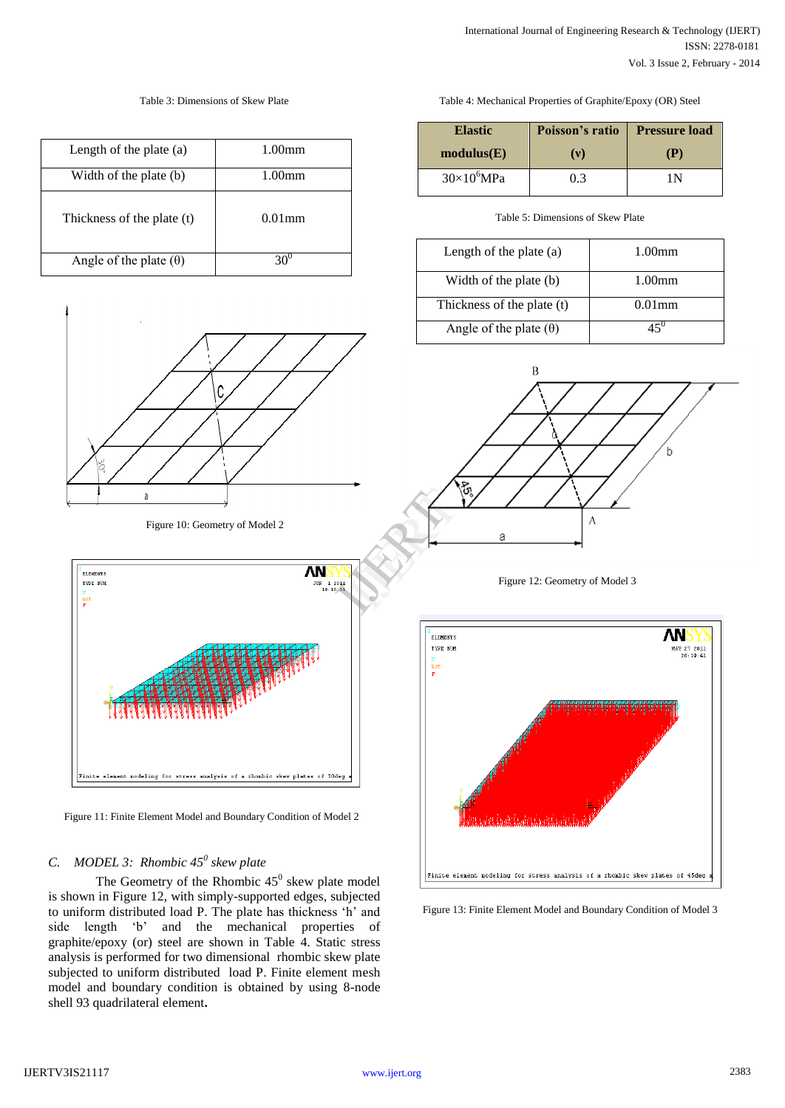Table 3: Dimensions of Skew Plate

| Length of the plate $(a)$     | 1.00 <sub>mm</sub> |
|-------------------------------|--------------------|
| Width of the plate (b)        | 1.00 <sub>mm</sub> |
| Thickness of the plate (t)    | $0.01$ mm          |
| Angle of the plate $(\theta)$ |                    |



Figure 10: Geometry of Model 2



Figure 11: Finite Element Model and Boundary Condition of Model 2

# *C. MODEL 3: Rhombic 45<sup>0</sup> skew plate*

The Geometry of the Rhombic  $45^{\circ}$  skew plate model is shown in Figure 12, with simply-supported edges, subjected to uniform distributed load P. The plate has thickness 'h' and side length 'b' and the mechanical properties of graphite/epoxy (or) steel are shown in Table 4. Static stress analysis is performed for two dimensional rhombic skew plate subjected to uniform distributed load P. Finite element mesh model and boundary condition is obtained by using 8-node shell 93 quadrilateral element**.**

Table 4: Mechanical Properties of Graphite/Epoxy (OR) Steel

| <b>Elastic</b>     | Poisson's ratio | <b>Pressure load</b> |
|--------------------|-----------------|----------------------|
| modulus(E)         | (v)             | (P)                  |
| $30\times10^6$ MPa | ገ 3             |                      |

Table 5: Dimensions of Skew Plate

| Length of the plate $(a)$     | 1.00mm             |
|-------------------------------|--------------------|
| Width of the plate (b)        | 1.00 <sub>mm</sub> |
| Thickness of the plate (t)    | $0.01$ mm          |
| Angle of the plate $(\theta)$ |                    |





Figure 13: Finite Element Model and Boundary Condition of Model 3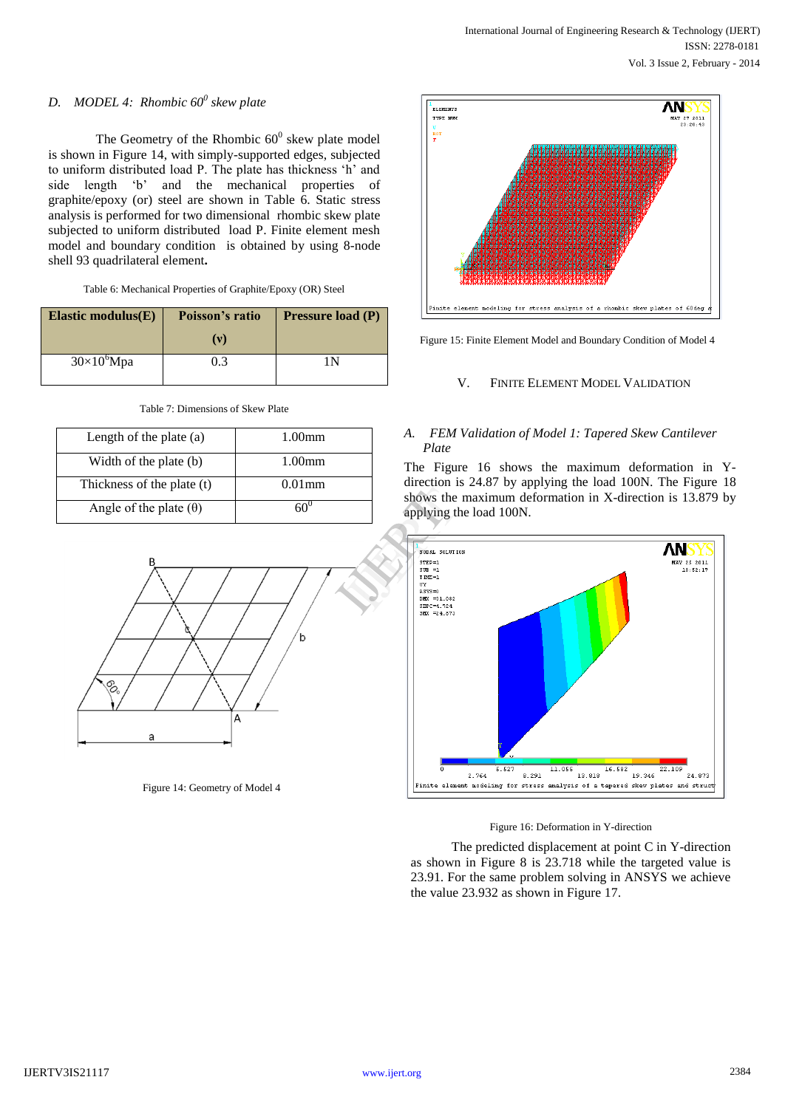# *D. MODEL 4: Rhombic 60<sup>0</sup> skew plate*

The Geometry of the Rhombic  $60^{\circ}$  skew plate model is shown in Figure 14, with simply-supported edges, subjected to uniform distributed load P. The plate has thickness 'h' and side length 'b' and the mechanical properties of graphite/epoxy (or) steel are shown in Table 6. Static stress analysis is performed for two dimensional rhombic skew plate subjected to uniform distributed load P. Finite element mesh model and boundary condition is obtained by using 8-node shell 93 quadrilateral element**.**

Table 6: Mechanical Properties of Graphite/Epoxy (OR) Steel

| Elastic modulus $(E)$ | Poisson's ratio | <b>Pressure load (P)</b> |  |
|-----------------------|-----------------|--------------------------|--|
|                       | (v)             |                          |  |
| $30\times10^6$ Mpa    | 0.3             | 1 N                      |  |

| Table 7: Dimensions of Skew Plate |  |  |
|-----------------------------------|--|--|
|                                   |  |  |

| Length of the plate $(a)$     | 1.00 <sub>mm</sub> |
|-------------------------------|--------------------|
| Width of the plate (b)        | 1.00mm             |
| Thickness of the plate (t)    | $0.01$ mm          |
| Angle of the plate $(\theta)$ |                    |



Figure 14: Geometry of Model 4



Figure 15: Finite Element Model and Boundary Condition of Model 4

#### V. FINITE ELEMENT MODEL VALIDATION

## *A. FEM Validation of Model 1: Tapered Skew Cantilever Plate*

The Figure 16 shows the maximum deformation in Ydirection is 24.87 by applying the load 100N. The Figure 18 shows the maximum deformation in X-direction is 13.879 by applying the load 100N.



### Figure 16: Deformation in Y-direction

The predicted displacement at point C in Y-direction as shown in Figure 8 is 23.718 while the targeted value is 23.91. For the same problem solving in ANSYS we achieve the value 23.932 as shown in Figure 17.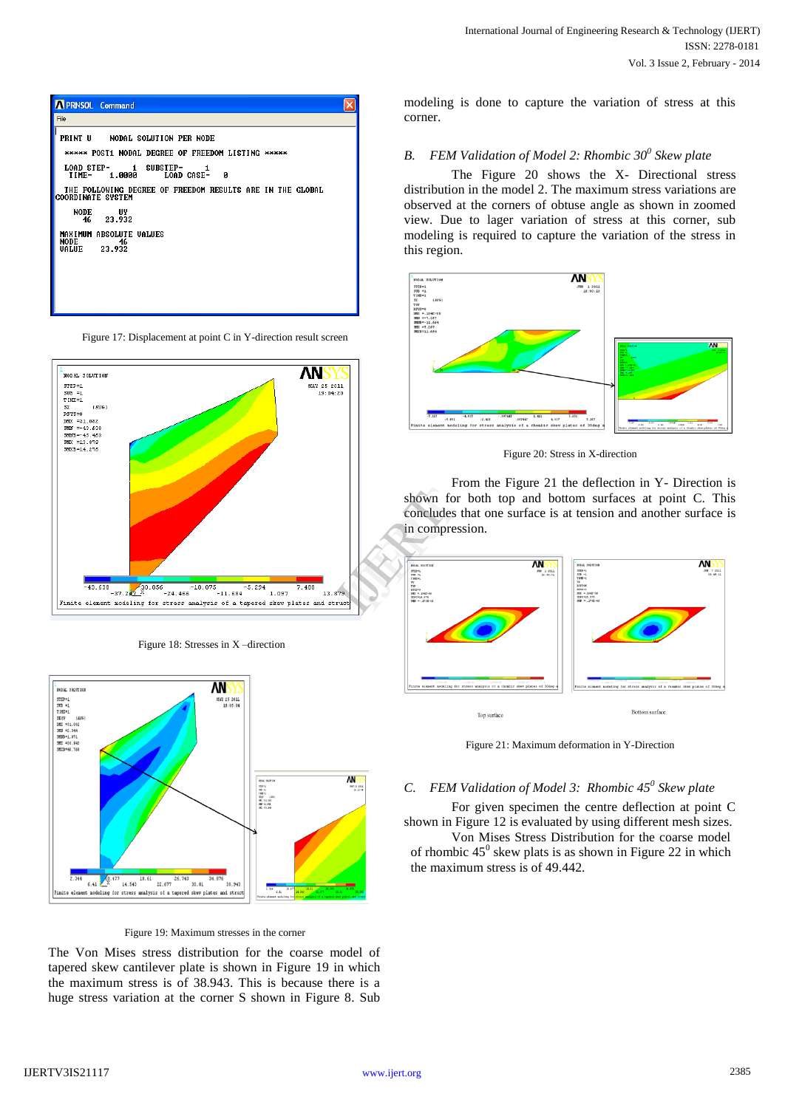









Figure 19: Maximum stresses in the corner

The Von Mises stress distribution for the coarse model of tapered skew cantilever plate is shown in Figure 19 in which the maximum stress is of 38.943. This is because there is a huge stress variation at the corner S shown in Figure 8. Sub

modeling is done to capture the variation of stress at this corner.

# *B. FEM Validation of Model 2: Rhombic 30<sup>0</sup> Skew plate*

The Figure 20 shows the X- Directional stress distribution in the model 2. The maximum stress variations are observed at the corners of obtuse angle as shown in zoomed view. Due to lager variation of stress at this corner, sub modeling is required to capture the variation of the stress in this region.



Figure 20: Stress in X-direction

From the Figure 21 the deflection in Y- Direction is shown for both top and bottom surfaces at point C. This concludes that one surface is at tension and another surface is in compression.



Figure 21: Maximum deformation in Y-Direction

# *C. FEM Validation of Model 3: Rhombic 45<sup>0</sup> Skew plate*

For given specimen the centre deflection at point C shown in Figure 12 is evaluated by using different mesh sizes.

Von Mises Stress Distribution for the coarse model of rhombic  $45^{\circ}$  skew plats is as shown in Figure 22 in which the maximum stress is of 49.442.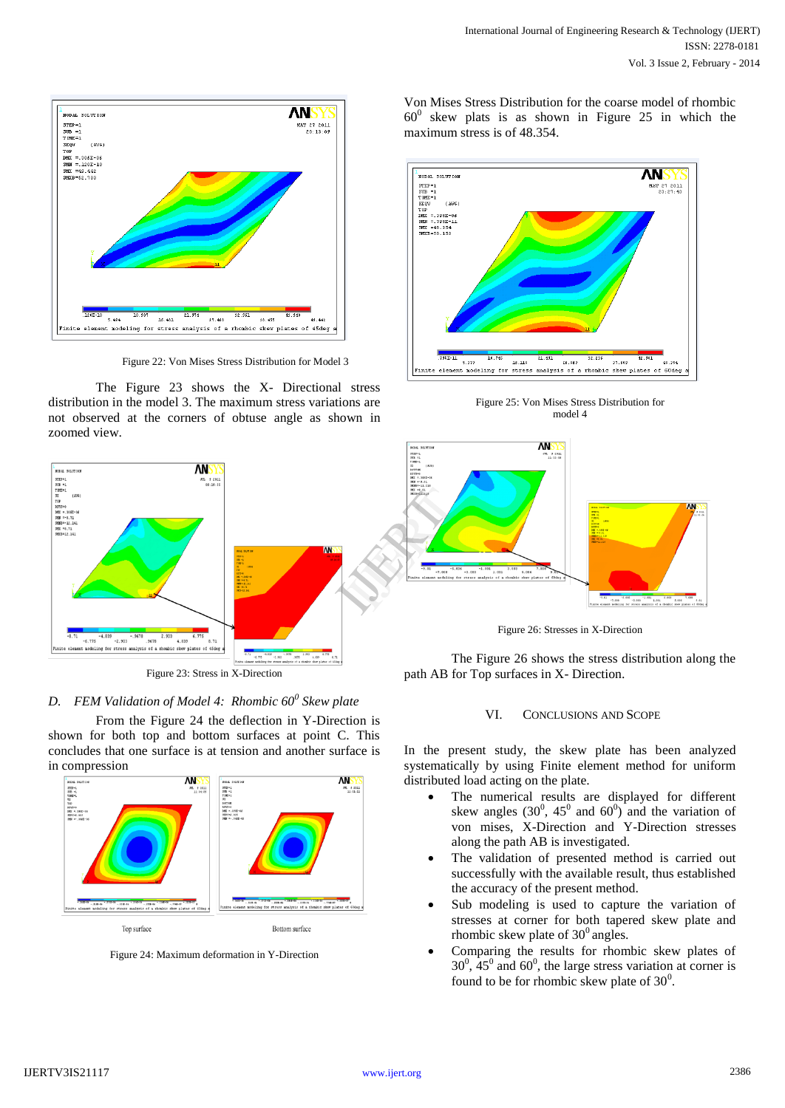

Figure 22: Von Mises Stress Distribution for Model 3

The Figure 23 shows the X- Directional stress distribution in the model 3. The maximum stress variations are not observed at the corners of obtuse angle as shown in zoomed view.



Figure 23: Stress in X-Direction

# *D. FEM Validation of Model 4: Rhombic 60<sup>0</sup> Skew plate*

From the Figure 24 the deflection in Y-Direction is shown for both top and bottom surfaces at point C. This concludes that one surface is at tension and another surface is in compression



Figure 24: Maximum deformation in Y-Direction

Von Mises Stress Distribution for the coarse model of rhombic  $60^{\circ}$  skew plats is as shown in Figure 25 in which the maximum stress is of 48.354.



Figure 25: Von Mises Stress Distribution for model 4



Figure 26: Stresses in X-Direction

The Figure 26 shows the stress distribution along the path AB for Top surfaces in X- Direction.

## VI. CONCLUSIONS AND SCOPE

In the present study, the skew plate has been analyzed systematically by using Finite element method for uniform distributed load acting on the plate.

- The numerical results are displayed for different skew angles  $(30^0, 45^0 \text{ and } 60^0)$  and the variation of von mises, X-Direction and Y-Direction stresses along the path AB is investigated.
- The validation of presented method is carried out successfully with the available result, thus established the accuracy of the present method.
- Sub modeling is used to capture the variation of stresses at corner for both tapered skew plate and rhombic skew plate of  $30^0$  angles.
- Comparing the results for rhombic skew plates of  $30^0$ ,  $45^0$  and  $60^0$ , the large stress variation at corner is found to be for rhombic skew plate of  $30^0$ .